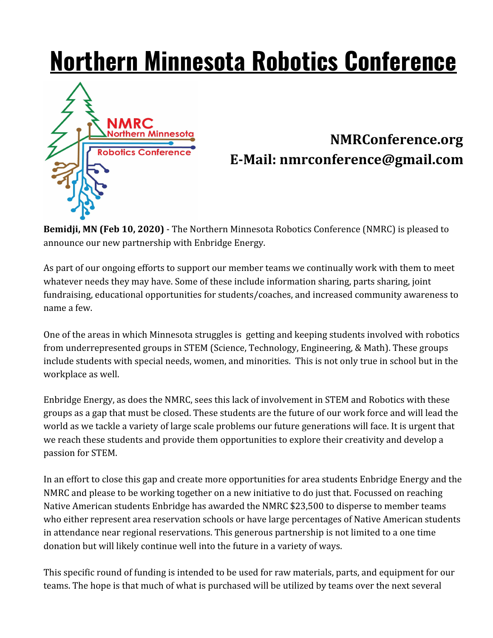## **Northern Minnesota Robotics Conference**



## **NMRConference.org E-Mail: nmrconference@gmail.com**

**Bemidji, MN (Feb 10, 2020)** - The Northern Minnesota Robotics Conference (NMRC) is pleased to announce our new partnership with Enbridge Energy.

As part of our ongoing efforts to support our member teams we continually work with them to meet whatever needs they may have. Some of these include information sharing, parts sharing, joint fundraising, educational opportunities for students/coaches, and increased community awareness to name a few.

One of the areas in which Minnesota struggles is getting and keeping students involved with robotics from underrepresented groups in STEM (Science, Technology, Engineering, & Math). These groups include students with special needs, women, and minorities. This is not only true in school but in the workplace as well.

Enbridge Energy, as does the NMRC, sees this lack of involvement in STEM and Robotics with these groups as a gap that must be closed. These students are the future of our work force and will lead the world as we tackle a variety of large scale problems our future generations will face. It is urgent that we reach these students and provide them opportunities to explore their creativity and develop a passion for STEM.

In an effort to close this gap and create more opportunities for area students Enbridge Energy and the NMRC and please to be working together on a new initiative to do just that. Focussed on reaching Native American students Enbridge has awarded the NMRC \$23,500 to disperse to member teams who either represent area reservation schools or have large percentages of Native American students in attendance near regional reservations. This generous partnership is not limited to a one time donation but will likely continue well into the future in a variety of ways.

This specific round of funding is intended to be used for raw materials, parts, and equipment for our teams. The hope is that much of what is purchased will be utilized by teams over the next several